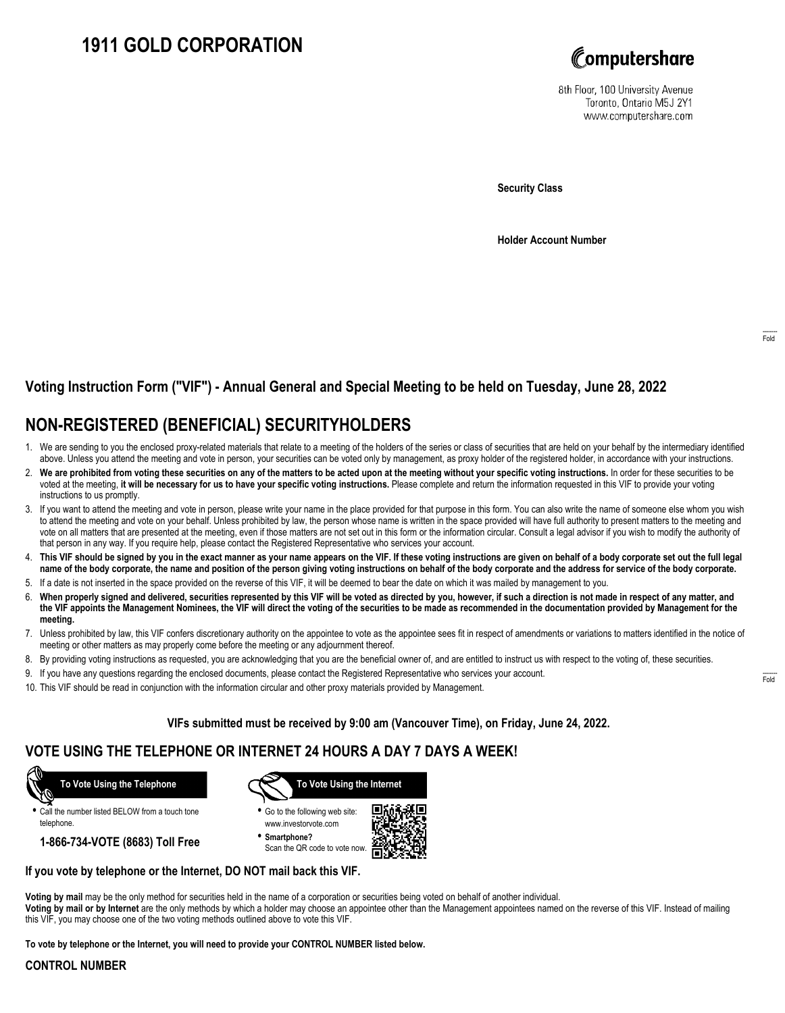# **1911 GOLD CORPORATION**



8th Floor, 100 University Avenue Toronto, Ontario M5J 2Y1 www.computershare.com

**Security Class**

**Holder Account Number**

### **Voting Instruction Form ("VIF") - Annual General and Special Meeting to be held on Tuesday, June 28, 2022**

## **NON-REGISTERED (BENEFICIAL) SECURITYHOLDERS**

- 1. We are sending to you the enclosed proxy-related materials that relate to a meeting of the holders of the series or class of securities that are held on your behalf by the intermediary identified above. Unless you attend the meeting and vote in person, your securities can be voted only by management, as proxy holder of the registered holder, in accordance with your instructions.
- 2. **We are prohibited from voting these securities on any of the matters to be acted upon at the meeting without your specific voting instructions.** In order for these securities to be voted at the meeting, **it will be necessary for us to have your specific voting instructions.** Please complete and return the information requested in this VIF to provide your voting instructions to us promptly.
- 3. If you want to attend the meeting and vote in person, please write your name in the place provided for that purpose in this form. You can also write the name of someone else whom you wish to attend the meeting and vote on your behalf. Unless prohibited by law, the person whose name is written in the space provided will have full authority to present matters to the meeting and vote on all matters that are presented at the meeting, even if those matters are not set out in this form or the information circular. Consult a legal advisor if you wish to modify the authority of that person in any way. If you require help, please contact the Registered Representative who services your account.
- 4. **This VIF should be signed by you in the exact manner as your name appears on the VIF. If these voting instructions are given on behalf of a body corporate set out the full legal name of the body corporate, the name and position of the person giving voting instructions on behalf of the body corporate and the address for service of the body corporate.**
- 5. If a date is not inserted in the space provided on the reverse of this VIF, it will be deemed to bear the date on which it was mailed by management to you.
- 6. **When properly signed and delivered, securities represented by this VIF will be voted as directed by you, however, if such a direction is not made in respect of any matter, and the VIF appoints the Management Nominees, the VIF will direct the voting of the securities to be made as recommended in the documentation provided by Management for the meeting.**
- 7. Unless prohibited by law, this VIF confers discretionary authority on the appointee to vote as the appointee sees fit in respect of amendments or variations to matters identified in the notice of meeting or other matters as may properly come before the meeting or any adjournment thereof.
- 8. By providing voting instructions as requested, you are acknowledging that you are the beneficial owner of, and are entitled to instruct us with respect to the voting of, these securities.
- 9. If you have any questions regarding the enclosed documents, please contact the Registered Representative who services your account.
- 10. This VIF should be read in conjunction with the information circular and other proxy materials provided by Management.

**VIFs submitted must be received by 9:00 am (Vancouver Time), on Friday, June 24, 2022.**

### **VOTE USING THE TELEPHONE OR INTERNET 24 HOURS A DAY 7 DAYS A WEEK!**



**•** Call the number listed BELOW from a touch tone telephone.

**1-866-734-VOTE (8683) Toll Free**



- **•** Go to the following web site: www.investorvote.com
- **• Smartphone?** Scan the QR code to vote now.



#### **If you vote by telephone or the Internet, DO NOT mail back this VIF.**

**Voting by mail** may be the only method for securities held in the name of a corporation or securities being voted on behalf of another individual.

**Voting by mail or by Internet** are the only methods by which a holder may choose an appointee other than the Management appointees named on the reverse of this VIF. Instead of mailing this VIF, you may choose one of the two voting methods outlined above to vote this VIF.

**To vote by telephone or the Internet, you will need to provide your CONTROL NUMBER listed below.**

#### **CONTROL NUMBER**